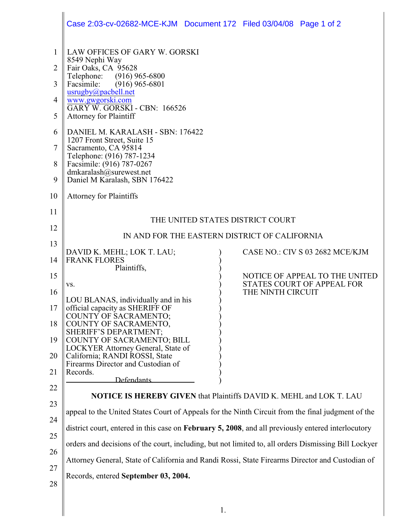|                                  | Case 2:03-cv-02682-MCE-KJM  Document 172  Filed 03/04/08  Page 1 of 2                                                                                                                                                                                                                                                            |                   |                                                              |  |  |  |
|----------------------------------|----------------------------------------------------------------------------------------------------------------------------------------------------------------------------------------------------------------------------------------------------------------------------------------------------------------------------------|-------------------|--------------------------------------------------------------|--|--|--|
| 1<br>2<br>3<br>4<br>5<br>6       | LAW OFFICES OF GARY W. GORSKI<br>8549 Nephi Way<br>Fair Oaks, CA 95628<br>$(916)$ 965-6800<br>Telephone:<br>Facsimile:<br>$(916)$ 965-6801<br>usrugby@pacbell.net<br>www.gwgorski.com<br><b>GARY W. GORSKI - CBN: 166526</b><br><b>Attorney for Plaintiff</b><br>DANIEL M. KARALASH - SBN: 176422<br>1207 Front Street, Suite 15 |                   |                                                              |  |  |  |
| 7<br>8<br>9                      | Sacramento, CA 95814<br>Telephone: (916) 787-1234<br>Facsimile: (916) 787-0267<br>dmkaralash@surewest.net<br>Daniel M Karalash, SBN 176422                                                                                                                                                                                       |                   |                                                              |  |  |  |
| 10                               | <b>Attorney for Plaintiffs</b>                                                                                                                                                                                                                                                                                                   |                   |                                                              |  |  |  |
| 11<br>12                         | THE UNITED STATES DISTRICT COURT<br>IN AND FOR THE EASTERN DISTRICT OF CALIFORNIA                                                                                                                                                                                                                                                |                   |                                                              |  |  |  |
| 13                               | CASE NO.: CIV S 03 2682 MCE/KJM                                                                                                                                                                                                                                                                                                  |                   |                                                              |  |  |  |
| 14                               | DAVID K. MEHL; LOK T. LAU;<br><b>FRANK FLORES</b><br>Plaintiffs,                                                                                                                                                                                                                                                                 |                   |                                                              |  |  |  |
| 15                               | VS.                                                                                                                                                                                                                                                                                                                              |                   | NOTICE OF APPEAL TO THE UNITED<br>STATES COURT OF APPEAL FOR |  |  |  |
| 16<br>17<br>18<br>19<br>20<br>21 | LOU BLANAS, individually and in his<br>official capacity as SHERIFF OF<br>COUNTY OF SACRAMENTO;<br>COUNTY OF SACRAMENTO,<br>SHERIFF'S DEPARTMENT;<br>COUNTY OF SACRAMENTO; BILL<br>LOCKYER Attorney General, State of<br>California; RANDI ROSSI, State<br>Firearms Director and Custodian of<br>Records.                        | THE NINTH CIRCUIT |                                                              |  |  |  |
| 22                               | <b>Defendants</b>                                                                                                                                                                                                                                                                                                                |                   |                                                              |  |  |  |
| 23                               | NOTICE IS HEREBY GIVEN that Plaintiffs DAVID K. MEHL and LOK T. LAU                                                                                                                                                                                                                                                              |                   |                                                              |  |  |  |
| 24                               | appeal to the United States Court of Appeals for the Ninth Circuit from the final judgment of the                                                                                                                                                                                                                                |                   |                                                              |  |  |  |
| 25                               | district court, entered in this case on February 5, 2008, and all previously entered interlocutory                                                                                                                                                                                                                               |                   |                                                              |  |  |  |
| 26                               | orders and decisions of the court, including, but not limited to, all orders Dismissing Bill Lockyer                                                                                                                                                                                                                             |                   |                                                              |  |  |  |
| 27                               | Attorney General, State of California and Randi Rossi, State Firearms Director and Custodian of                                                                                                                                                                                                                                  |                   |                                                              |  |  |  |
| 28                               | Records, entered September 03, 2004.                                                                                                                                                                                                                                                                                             |                   |                                                              |  |  |  |
|                                  | 1.                                                                                                                                                                                                                                                                                                                               |                   |                                                              |  |  |  |